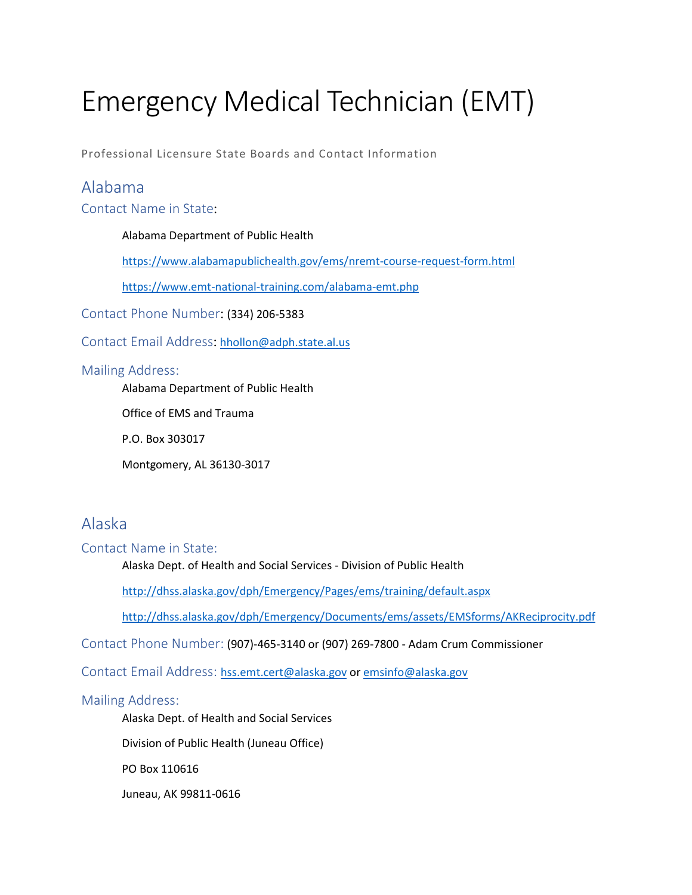# Emergency Medical Technician (EMT)

Professional Licensure State Boards and Contact Information

### Alabama

Contact Name in State:

### Alabama Department of Public Health

<https://www.alabamapublichealth.gov/ems/nremt-course-request-form.html>

<https://www.emt-national-training.com/alabama-emt.php>

Contact Phone Number: (334) 206-5383

Contact Email Address: [hhollon@adph.state.al.us](mailto:hhollon@adph.state.al.us)

### Mailing Address:

Alabama Department of Public Health

Office of EMS and Trauma

P.O. Box 303017

Montgomery, AL 36130-3017

# Alaska

Contact Name in State:

Alaska Dept. of Health and Social Services - Division of Public Health

<http://dhss.alaska.gov/dph/Emergency/Pages/ems/training/default.aspx>

<http://dhss.alaska.gov/dph/Emergency/Documents/ems/assets/EMSforms/AKReciprocity.pdf>

Contact Phone Number: (907)-465-3140 or (907) 269-7800 - Adam Crum Commissioner

Contact Email Address: [hss.emt.cert@alaska.gov](mailto:hss.emt.cert@alaska.gov) o[r emsinfo@alaska.gov](mailto:emsinfo@alaska.gov)

### Mailing Address:

Alaska Dept. of Health and Social Services

Division of Public Health (Juneau Office)

PO Box 110616

Juneau, AK 99811-0616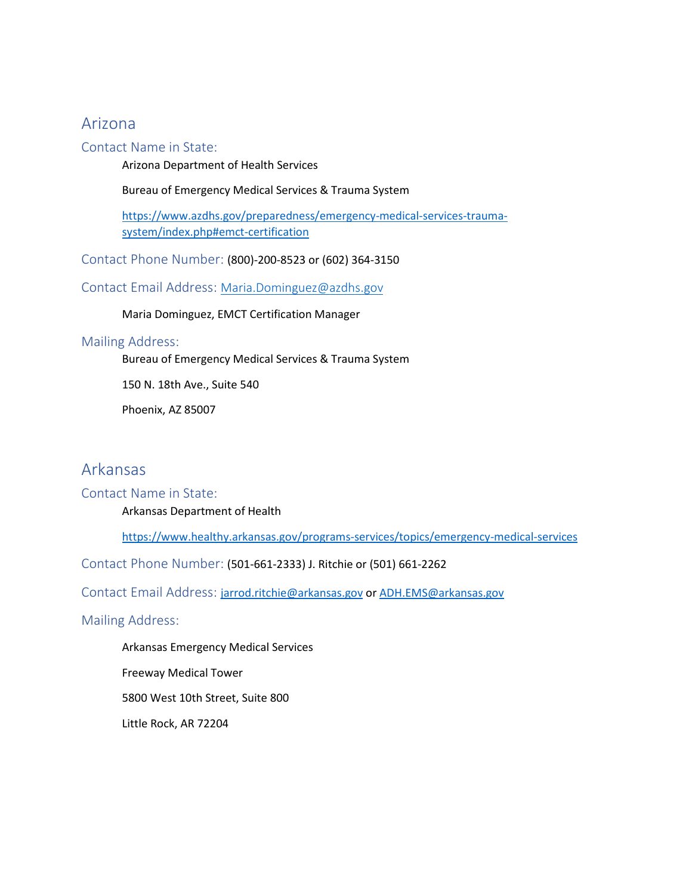### Arizona

### Contact Name in State:

Arizona Department of Health Services

Bureau of Emergency Medical Services & Trauma System

[https://www.azdhs.gov/preparedness/emergency-medical-services-trauma](https://www.azdhs.gov/preparedness/emergency-medical-services-trauma-system/index.php#emct-certification)[system/index.php#emct-certification](https://www.azdhs.gov/preparedness/emergency-medical-services-trauma-system/index.php#emct-certification)

Contact Phone Number: (800)-200-8523 or (602) 364-3150

Contact Email Address: [Maria.Dominguez@azdhs.gov](mailto:Maria.Dominguez@azdhs.gov)

Maria Dominguez, EMCT Certification Manager

#### Mailing Address:

Bureau of Emergency Medical Services & Trauma System

150 N. 18th Ave., Suite 540

Phoenix, AZ 85007

### Arkansas

### Contact Name in State:

Arkansas Department of Health

<https://www.healthy.arkansas.gov/programs-services/topics/emergency-medical-services>

Contact Phone Number: (501-661-2333) J. Ritchie or (501) 661-2262

Contact Email Address: [jarrod.ritchie@arkansas.gov](mailto:jarrod.ritchie@arkansas.gov) or [ADH.EMS@arkansas.gov](mailto:ADH.EMS@arkansas.gov)

#### Mailing Address:

Arkansas Emergency Medical Services Freeway Medical Tower 5800 West 10th Street, Suite 800 Little Rock, AR 72204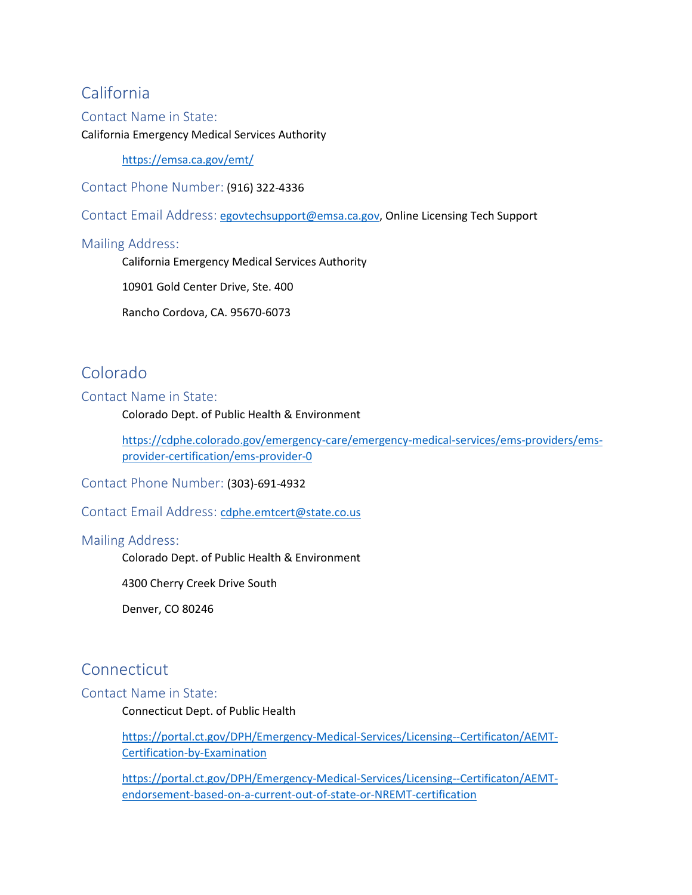# California

### Contact Name in State:

#### California Emergency Medical Services Authority

<https://emsa.ca.gov/emt/>

Contact Phone Number: (916) 322-4336

Contact Email Address: [egovtechsupport@emsa.ca.gov,](mailto:egovtechsupport@emsa.ca.gov) Online Licensing Tech Support

### Mailing Address:

California Emergency Medical Services Authority

10901 Gold Center Drive, Ste. 400

Rancho Cordova, CA. 95670-6073

# Colorado

### Contact Name in State:

Colorado Dept. of Public Health & Environment

[https://cdphe.colorado.gov/emergency-care/emergency-medical-services/ems-providers/ems](https://cdphe.colorado.gov/emergency-care/emergency-medical-services/ems-providers/ems-provider-certification/ems-provider-0)[provider-certification/ems-provider-0](https://cdphe.colorado.gov/emergency-care/emergency-medical-services/ems-providers/ems-provider-certification/ems-provider-0)

Contact Phone Number: (303)-691-4932

Contact Email Address:[cdphe.emtcert@state.co.us](mailto:cdphe.emtcert@state.co.us)

### Mailing Address:

Colorado Dept. of Public Health & Environment

4300 Cherry Creek Drive South

Denver, CO 80246

### **Connecticut**

#### Contact Name in State:

Connecticut Dept. of Public Health

[https://portal.ct.gov/DPH/Emergency-Medical-Services/Licensing--Certificaton/AEMT-](https://portal.ct.gov/DPH/Emergency-Medical-Services/Licensing--Certificaton/AEMT-Certification-by-Examination)[Certification-by-Examination](https://portal.ct.gov/DPH/Emergency-Medical-Services/Licensing--Certificaton/AEMT-Certification-by-Examination)

[https://portal.ct.gov/DPH/Emergency-Medical-Services/Licensing--Certificaton/AEMT](https://portal.ct.gov/DPH/Emergency-Medical-Services/Licensing--Certificaton/AEMT-endorsement-based-on-a-current-out-of-state-or-NREMT-certification)[endorsement-based-on-a-current-out-of-state-or-NREMT-certification](https://portal.ct.gov/DPH/Emergency-Medical-Services/Licensing--Certificaton/AEMT-endorsement-based-on-a-current-out-of-state-or-NREMT-certification)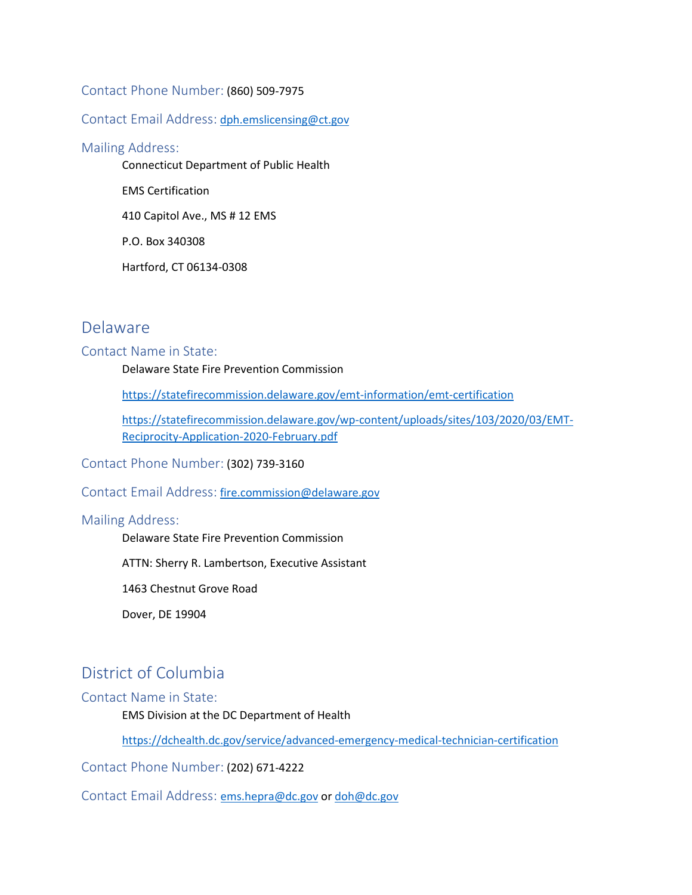### Contact Phone Number: (860) 509-7975

#### Contact Email Address: [dph.emslicensing@ct.gov](mailto:dph.emslicensing@ct.gov)

#### Mailing Address:

Connecticut Department of Public Health

EMS Certification

410 Capitol Ave., MS # 12 EMS

P.O. Box 340308

Hartford, CT 06134-0308

### Delaware

#### Contact Name in State:

Delaware State Fire Prevention Commission

<https://statefirecommission.delaware.gov/emt-information/emt-certification>

[https://statefirecommission.delaware.gov/wp-content/uploads/sites/103/2020/03/EMT-](https://statefirecommission.delaware.gov/wp-content/uploads/sites/103/2020/03/EMT-Reciprocity-Application-2020-February.pdf)[Reciprocity-Application-2020-February.pdf](https://statefirecommission.delaware.gov/wp-content/uploads/sites/103/2020/03/EMT-Reciprocity-Application-2020-February.pdf)

### Contact Phone Number: (302) 739-3160

### Contact Email Address: [fire.commission@delaware.gov](mailto:fire.commission@delaware.gov)

#### Mailing Address:

Delaware State Fire Prevention Commission

ATTN: Sherry R. Lambertson, Executive Assistant

1463 Chestnut Grove Road

Dover, DE 19904

### District of Columbia

Contact Name in State:

EMS Division at the DC Department of Health

<https://dchealth.dc.gov/service/advanced-emergency-medical-technician-certification>

Contact Phone Number: (202) 671-4222

Contact Email Address:[ems.hepra@dc.gov](mailto:ems.hepra@dc.gov) or [doh@dc.gov](mailto:doh@dc.gov)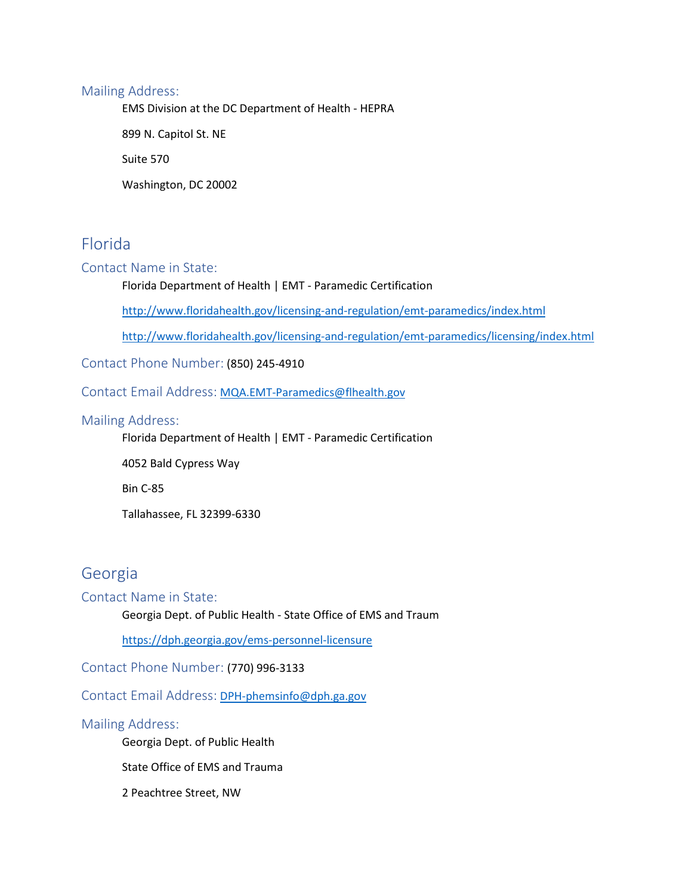### Mailing Address:

EMS Division at the DC Department of Health - HEPRA

899 N. Capitol St. NE

Suite 570

Washington, DC 20002

# Florida

### Contact Name in State:

### Florida Department of Health | EMT - Paramedic Certification

<http://www.floridahealth.gov/licensing-and-regulation/emt-paramedics/index.html>

<http://www.floridahealth.gov/licensing-and-regulation/emt-paramedics/licensing/index.html>

Contact Phone Number: (850) 245-4910

Contact Email Address: [MQA.EMT-Paramedics@flhealth.gov](mailto:MQA.EMT-Paramedics@flhealth.gov)

### Mailing Address:

Florida Department of Health | EMT - Paramedic Certification

4052 Bald Cypress Way

Bin C-85

Tallahassee, FL 32399-6330

### Georgia

### Contact Name in State:

Georgia Dept. of Public Health - State Office of EMS and Traum

<https://dph.georgia.gov/ems-personnel-licensure>

Contact Phone Number: (770) 996-3133

Contact Email Address: [DPH-phemsinfo@dph.ga.gov](mailto:DPH-phemsinfo@dph.ga.gov)

### Mailing Address:

Georgia Dept. of Public Health

State Office of EMS and Trauma

2 Peachtree Street, NW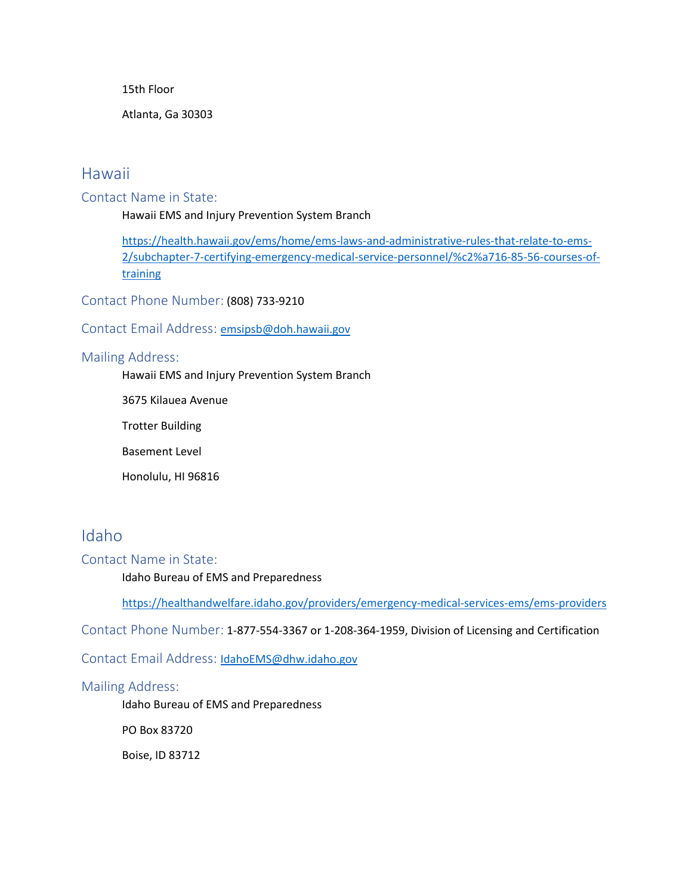15th Floor

Atlanta, Ga 30303

### Hawaii

### Contact Name in State:

Hawaii EMS and Injury Prevention System Branch

[https://health.hawaii.gov/ems/home/ems-laws-and-administrative-rules-that-relate-to-ems-](https://health.hawaii.gov/ems/home/ems-laws-and-administrative-rules-that-relate-to-ems-2/subchapter-7-certifying-emergency-medical-service-personnel/%c2%a716-85-56-courses-of-training)[2/subchapter-7-certifying-emergency-medical-service-personnel/%c2%a716-85-56-courses-of](https://health.hawaii.gov/ems/home/ems-laws-and-administrative-rules-that-relate-to-ems-2/subchapter-7-certifying-emergency-medical-service-personnel/%c2%a716-85-56-courses-of-training)[training](https://health.hawaii.gov/ems/home/ems-laws-and-administrative-rules-that-relate-to-ems-2/subchapter-7-certifying-emergency-medical-service-personnel/%c2%a716-85-56-courses-of-training)

Contact Phone Number: (808) 733-9210

### Contact Email Address: [emsipsb@doh.hawaii.gov](mailto:emsipsb@doh.hawaii.gov)

### Mailing Address:

Hawaii EMS and Injury Prevention System Branch

3675 Kilauea Avenue

Trotter Building

Basement Level

Honolulu, HI 96816

# Idaho

### Contact Name in State:

Idaho Bureau of EMS and Preparedness

<https://healthandwelfare.idaho.gov/providers/emergency-medical-services-ems/ems-providers>

Contact Phone Number: 1-877-554-3367 or 1-208-364-1959, Division of Licensing and Certification

Contact Email Address:[IdahoEMS@dhw.idaho.gov](mailto:IdahoEMS@dhw.idaho.gov)

#### Mailing Address:

Idaho Bureau of EMS and Preparedness

PO Box 83720

Boise, ID 83712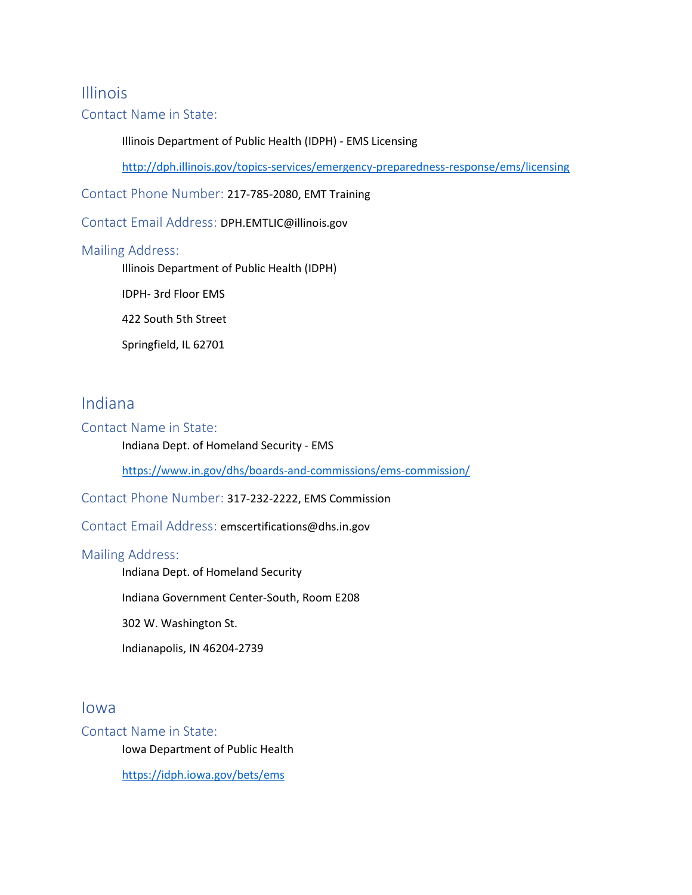### Illinois

### Contact Name in State:

### Illinois Department of Public Health (IDPH) - EMS Licensing

<http://dph.illinois.gov/topics-services/emergency-preparedness-response/ems/licensing>

Contact Phone Number: 217-785-2080, EMT Training

Contact Email Address: DPH.EMTLIC@illinois.gov

### Mailing Address:

Illinois Department of Public Health (IDPH)

IDPH- 3rd Floor EMS

422 South 5th Street

Springfield, IL 62701

### Indiana

### Contact Name in State:

Indiana Dept. of Homeland Security - EMS

<https://www.in.gov/dhs/boards-and-commissions/ems-commission/>

Contact Phone Number: 317-232-2222, EMS Commission

Contact Email Address: emscertifications@dhs.in.gov

### Mailing Address:

Indiana Dept. of Homeland Security

Indiana Government Center-South, Room E208

302 W. Washington St.

Indianapolis, IN 46204-2739

### Iowa

### Contact Name in State:

Iowa Department of Public Health

<https://idph.iowa.gov/bets/ems>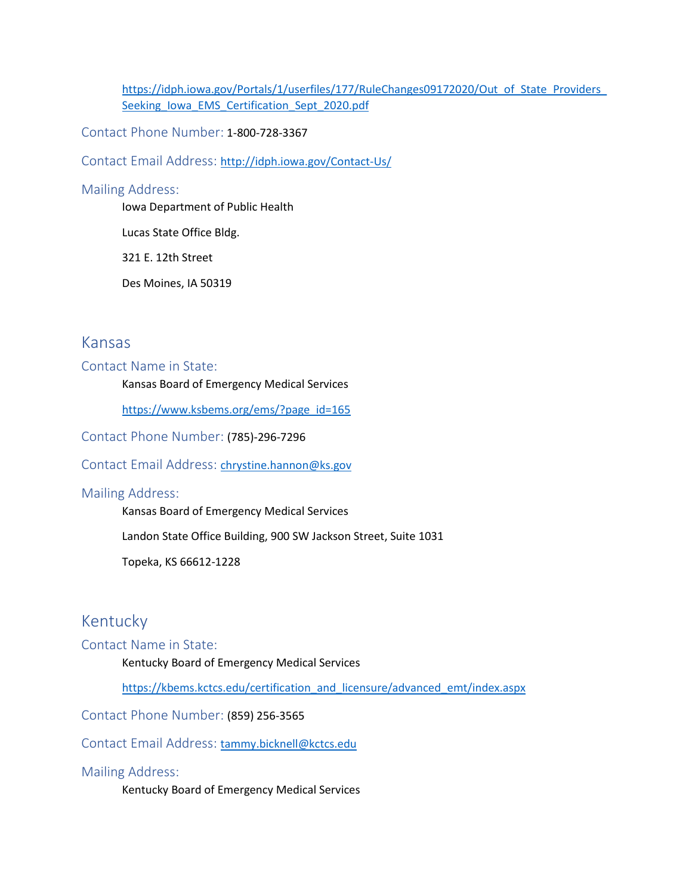https://idph.iowa.gov/Portals/1/userfiles/177/RuleChanges09172020/Out\_of\_State\_Providers [Seeking\\_Iowa\\_EMS\\_Certification\\_Sept\\_2020.pdf](https://idph.iowa.gov/Portals/1/userfiles/177/RuleChanges09172020/Out_of_State_Providers_Seeking_Iowa_EMS_Certification_Sept_2020.pdf)

Contact Phone Number: 1-800-728-3367

Contact Email Address: <http://idph.iowa.gov/Contact-Us/>

#### Mailing Address:

Iowa Department of Public Health

Lucas State Office Bldg.

321 E. 12th Street

Des Moines, IA 50319

### Kansas

### Contact Name in State:

Kansas Board of Emergency Medical Services

[https://www.ksbems.org/ems/?page\\_id=165](https://www.ksbems.org/ems/?page_id=165)

Contact Phone Number: (785)-296-7296

ContactEmail Address: [chrystine.hannon@ks.gov](mailto:chrystine.hannon@ks.gov)

#### Mailing Address:

Kansas Board of Emergency Medical Services

Landon State Office Building, 900 SW Jackson Street, Suite 1031

Topeka, KS 66612-1228

# Kentucky

### Contact Name in State:

Kentucky Board of Emergency Medical Services

[https://kbems.kctcs.edu/certification\\_and\\_licensure/advanced\\_emt/index.aspx](https://kbems.kctcs.edu/certification_and_licensure/advanced_emt/index.aspx)

Contact Phone Number: (859) 256-3565

Contact Email Address:[tammy.bicknell@kctcs.edu](mailto:tammy.bicknell@kctcs.edu)

### Mailing Address:

Kentucky Board of Emergency Medical Services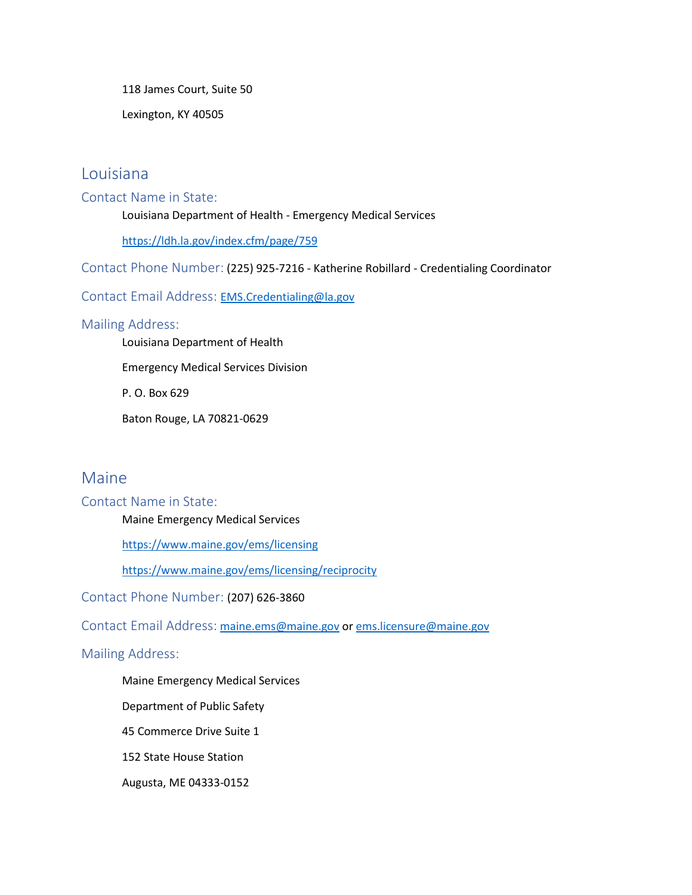118 James Court, Suite 50

Lexington, KY 40505

### Louisiana

### Contact Name in State:

Louisiana Department of Health - Emergency Medical Services

<https://ldh.la.gov/index.cfm/page/759>

Contact Phone Number: (225) 925-7216 - Katherine Robillard - Credentialing Coordinator

Contact Email Address: [EMS.Credentialing@la.gov](mailto:EMS.Credentialing@la.gov)

### Mailing Address:

Louisiana Department of Health

Emergency Medical Services Division

P. O. Box 629

Baton Rouge, LA 70821-0629

### Maine

### Contact Name in State:

Maine Emergency Medical Services

<https://www.maine.gov/ems/licensing>

<https://www.maine.gov/ems/licensing/reciprocity>

Contact Phone Number: (207) 626-3860

Contact Email Address: [maine.ems@maine.gov](mailto:maine.ems@maine.gov) or [ems.licensure@maine.gov](mailto:ems.licensure@maine.gov)

### Mailing Address:

Maine Emergency Medical Services

Department of Public Safety

45 Commerce Drive Suite 1

152 State House Station

Augusta, ME 04333-0152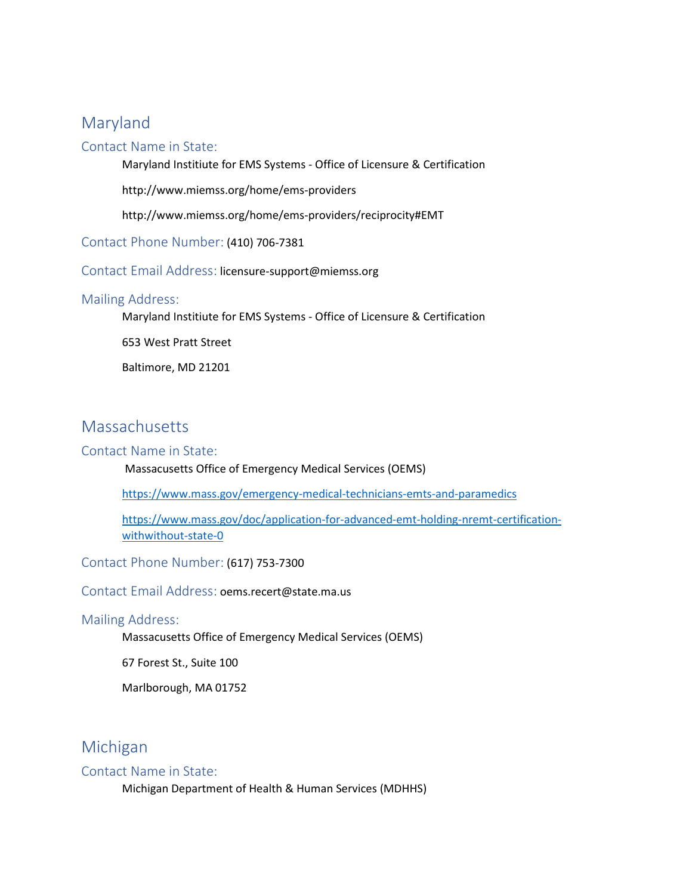# Maryland

### Contact Name in State:

Maryland Institiute for EMS Systems - Office of Licensure & Certification

http://www.miemss.org/home/ems-providers

http://www.miemss.org/home/ems-providers/reciprocity#EMT

Contact Phone Number: (410) 706-7381

Contact Email Address: licensure-support@miemss.org

### Mailing Address:

Maryland Institiute for EMS Systems - Office of Licensure & Certification

653 West Pratt Street

Baltimore, MD 21201

# Massachusetts

### Contact Name in State:

Massacusetts Office of Emergency Medical Services (OEMS)

<https://www.mass.gov/emergency-medical-technicians-emts-and-paramedics>

[https://www.mass.gov/doc/application-for-advanced-emt-holding-nremt-certification](https://www.mass.gov/doc/application-for-advanced-emt-holding-nremt-certification-withwithout-state-0)[withwithout-state-0](https://www.mass.gov/doc/application-for-advanced-emt-holding-nremt-certification-withwithout-state-0)

Contact Phone Number: (617) 753-7300

Contact Email Address: oems.recert@state.ma.us

### Mailing Address:

Massacusetts Office of Emergency Medical Services (OEMS)

67 Forest St., Suite 100

Marlborough, MA 01752

# Michigan

### Contact Name in State:

Michigan Department of Health & Human Services (MDHHS)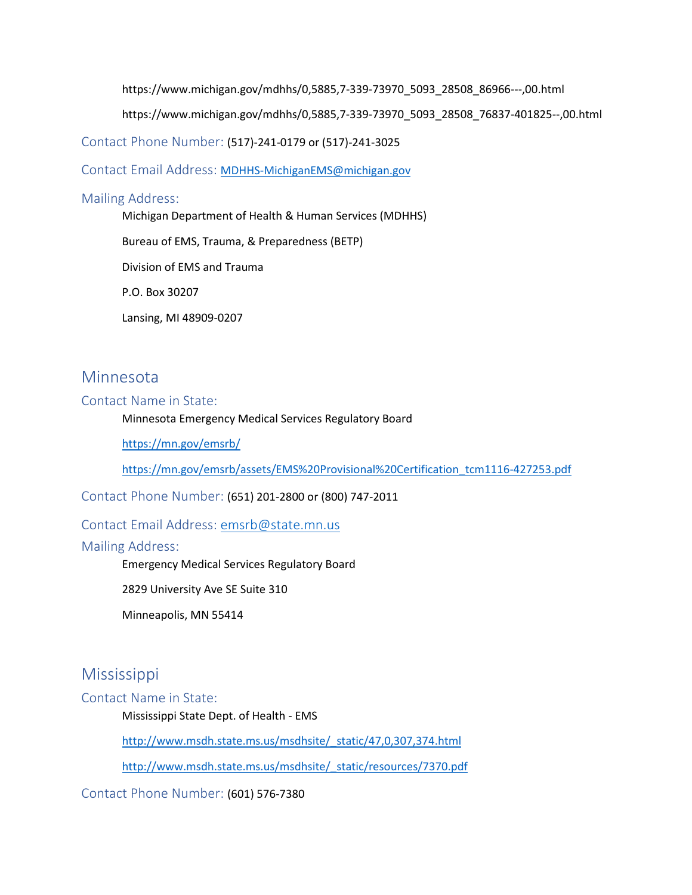https://www.michigan.gov/mdhhs/0,5885,7-339-73970\_5093\_28508\_86966---,00.html

https://www.michigan.gov/mdhhs/0,5885,7-339-73970\_5093\_28508\_76837-401825--,00.html

Contact Phone Number: (517)-241-0179 or (517)-241-3025

Contact Email Address: [MDHHS-MichiganEMS@michigan.gov](mailto:MDHHS-MichiganEMS@michigan.gov)

#### Mailing Address:

Michigan Department of Health & Human Services (MDHHS)

Bureau of EMS, Trauma, & Preparedness (BETP)

Division of EMS and Trauma

P.O. Box 30207

Lansing, MI 48909-0207

### Minnesota

#### Contact Name in State:

Minnesota Emergency Medical Services Regulatory Board

<https://mn.gov/emsrb/>

[https://mn.gov/emsrb/assets/EMS%20Provisional%20Certification\\_tcm1116-427253.pdf](https://mn.gov/emsrb/assets/EMS%20Provisional%20Certification_tcm1116-427253.pdf)

Contact Phone Number: (651) 201-2800 or (800) 747-2011

### Contact Email Address: [emsrb@state.mn.us](mailto:emsrb@state.mn.us)

#### Mailing Address:

Emergency Medical Services Regulatory Board

2829 University Ave SE Suite 310

Minneapolis, MN 55414

### **Mississippi**

Contact Name in State:

Mississippi State Dept. of Health - EMS

[http://www.msdh.state.ms.us/msdhsite/\\_static/47,0,307,374.html](http://www.msdh.state.ms.us/msdhsite/_static/47,0,307,374.html)

[http://www.msdh.state.ms.us/msdhsite/\\_static/resources/7370.pdf](http://www.msdh.state.ms.us/msdhsite/_static/resources/7370.pdf)

Contact Phone Number: (601) 576-7380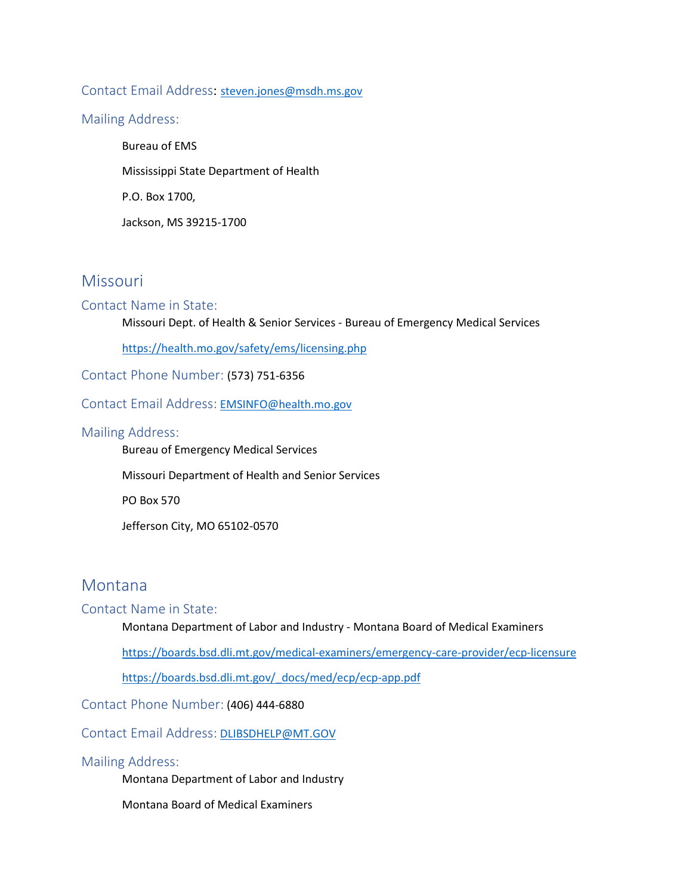### Contact Email Address:[steven.jones@msdh.ms.gov](mailto:steven.jones@msdh.ms.gov)

Mailing Address:

Bureau of EMS Mississippi State Department of Health P.O. Box 1700, Jackson, MS 39215-1700

# **Missouri**

### Contact Name in State:

Missouri Dept. of Health & Senior Services - Bureau of Emergency Medical Services

<https://health.mo.gov/safety/ems/licensing.php>

Contact Phone Number: (573) 751-6356

Contact Email Address: [EMSINFO@health.mo.gov](mailto:EMSINFO@health.mo.gov)

#### Mailing Address:

Bureau of Emergency Medical Services

Missouri Department of Health and Senior Services

PO Box 570

Jefferson City, MO 65102-0570

### Montana

### Contact Name in State:

Montana Department of Labor and Industry - Montana Board of Medical Examiners

<https://boards.bsd.dli.mt.gov/medical-examiners/emergency-care-provider/ecp-licensure>

[https://boards.bsd.dli.mt.gov/\\_docs/med/ecp/ecp-app.pdf](https://boards.bsd.dli.mt.gov/_docs/med/ecp/ecp-app.pdf)

Contact Phone Number: (406) 444-6880

Contact Email Address: [DLIBSDHELP@MT.GOV](mailto:DLIBSDHELP@MT.GOV)

#### Mailing Address:

Montana Department of Labor and Industry

Montana Board of Medical Examiners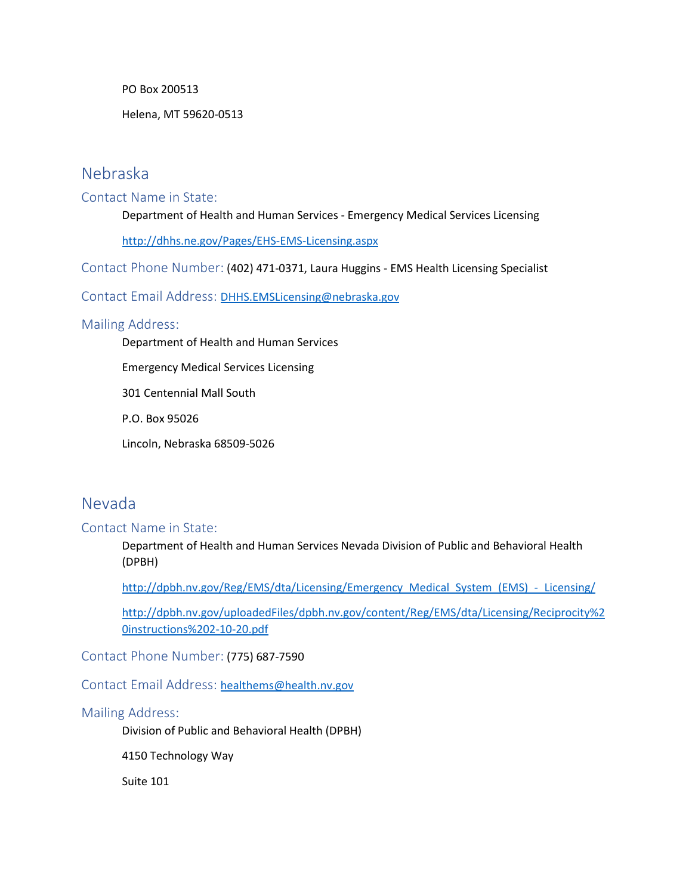PO Box 200513

Helena, MT 59620-0513

### Nebraska

### Contact Name in State:

Department of Health and Human Services - Emergency Medical Services Licensing

<http://dhhs.ne.gov/Pages/EHS-EMS-Licensing.aspx>

Contact Phone Number: (402) 471-0371, Laura Huggins - EMS Health Licensing Specialist

ContactEmail Address: [DHHS.EMSLicensing@nebraska.gov](mailto:DHHS.EMSLicensing@nebraska.gov)

### Mailing Address:

Department of Health and Human Services

Emergency Medical Services Licensing

301 Centennial Mall South

P.O. Box 95026

Lincoln, Nebraska 68509-5026

### Nevada

### Contact Name in State:

Department of Health and Human Services Nevada Division of Public and Behavioral Health (DPBH)

[http://dpbh.nv.gov/Reg/EMS/dta/Licensing/Emergency\\_Medical\\_System\\_\(EMS\)\\_-\\_Licensing/](http://dpbh.nv.gov/Reg/EMS/dta/Licensing/Emergency_Medical_System_(EMS)_-_Licensing/)

[http://dpbh.nv.gov/uploadedFiles/dpbh.nv.gov/content/Reg/EMS/dta/Licensing/Reciprocity%2](http://dpbh.nv.gov/uploadedFiles/dpbh.nv.gov/content/Reg/EMS/dta/Licensing/Reciprocity%20instructions%202-10-20.pdf) [0instructions%202-10-20.pdf](http://dpbh.nv.gov/uploadedFiles/dpbh.nv.gov/content/Reg/EMS/dta/Licensing/Reciprocity%20instructions%202-10-20.pdf)

Contact Phone Number: (775) 687-7590

Contact Email Address:[healthems@health.nv.gov](mailto:healthems@health.nv.gov)

#### Mailing Address:

Division of Public and Behavioral Health (DPBH)

4150 Technology Way

Suite 101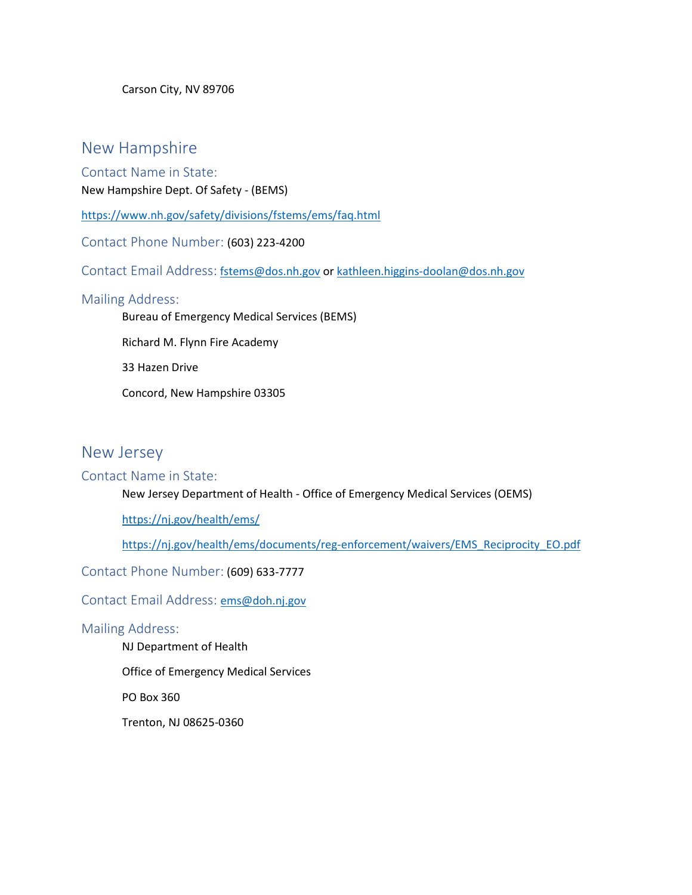Carson City, NV 89706

### New Hampshire

Contact Name in State:

New Hampshire Dept. Of Safety - (BEMS)

<https://www.nh.gov/safety/divisions/fstems/ems/faq.html>

Contact Phone Number: (603) 223-4200

Contact Email Address: [fstems@dos.nh.gov](mailto:fstems@dos.nh.gov) or [kathleen.higgins-doolan@dos.nh.gov](mailto:kathleen.higgins-doolan@dos.nh.gov)

### Mailing Address:

Bureau of Emergency Medical Services (BEMS)

Richard M. Flynn Fire Academy

33 Hazen Drive

Concord, New Hampshire 03305

### New Jersey

### Contact Name in State:

New Jersey Department of Health - Office of Emergency Medical Services (OEMS)

<https://nj.gov/health/ems/>

[https://nj.gov/health/ems/documents/reg-enforcement/waivers/EMS\\_Reciprocity\\_EO.pdf](https://nj.gov/health/ems/documents/reg-enforcement/waivers/EMS_Reciprocity_EO.pdf)

Contact Phone Number: (609) 633-7777

Contact Email Address:[ems@doh.nj.gov](mailto:ems@doh.nj.gov)

### Mailing Address:

NJ Department of Health

Office of Emergency Medical Services

PO Box 360

Trenton, NJ 08625-0360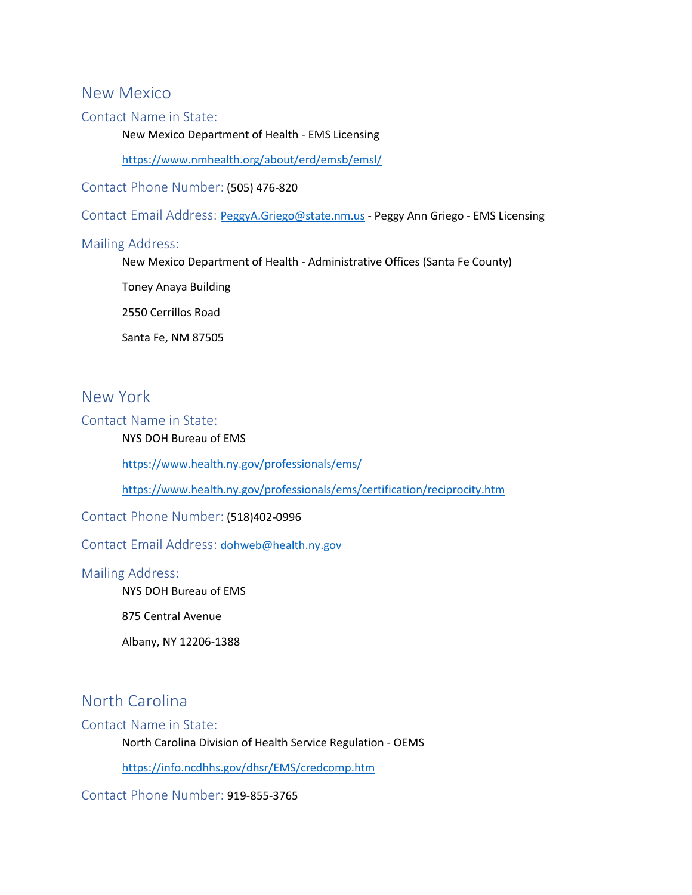### New Mexico

### Contact Name in State:

New Mexico Department of Health - EMS Licensing

<https://www.nmhealth.org/about/erd/emsb/emsl/>

Contact Phone Number: (505) 476-820

ContactEmail Address: [PeggyA.Griego@state.nm.us](mailto:PeggyA.Griego@state.nm.us) - Peggy Ann Griego - EMS Licensing

### Mailing Address:

New Mexico Department of Health - Administrative Offices (Santa Fe County)

Toney Anaya Building

2550 Cerrillos Road

Santa Fe, NM 87505

### New York

Contact Name in State:

### NYS DOH Bureau of EMS

<https://www.health.ny.gov/professionals/ems/>

<https://www.health.ny.gov/professionals/ems/certification/reciprocity.htm>

Contact Phone Number: (518)402-0996

Contact Email Address:[dohweb@health.ny.gov](mailto:dohweb@health.ny.gov)

### Mailing Address:

NYS DOH Bureau of EMS

875 Central Avenue

Albany, NY 12206-1388

# North Carolina

#### Contact Name in State:

North Carolina Division of Health Service Regulation - OEMS

<https://info.ncdhhs.gov/dhsr/EMS/credcomp.htm>

Contact Phone Number: 919-855-3765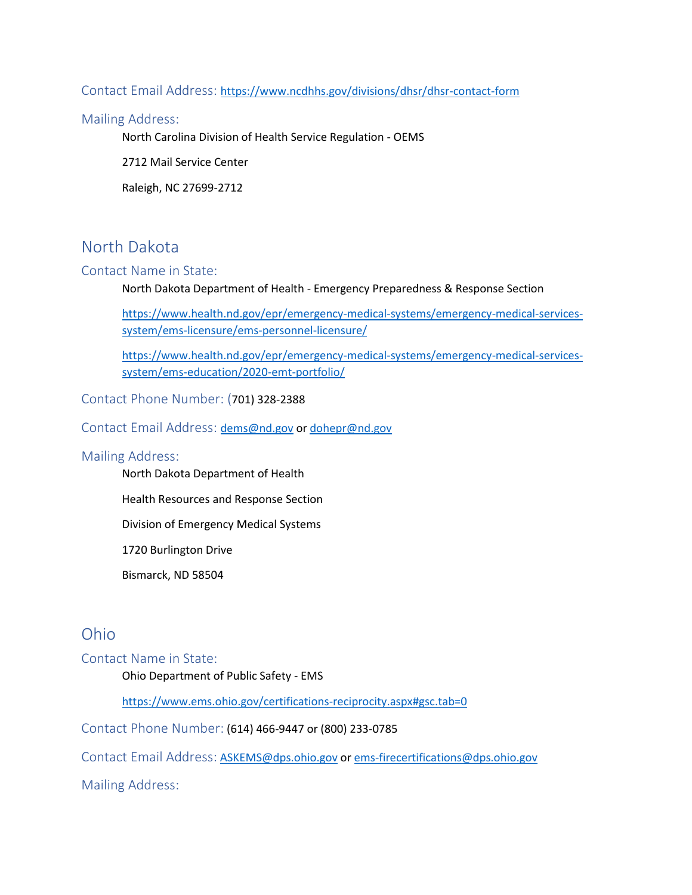### Contact Email Address: <https://www.ncdhhs.gov/divisions/dhsr/dhsr-contact-form>

#### Mailing Address:

North Carolina Division of Health Service Regulation - OEMS

2712 Mail Service Center

Raleigh, NC 27699-2712

# North Dakota

### Contact Name in State:

North Dakota Department of Health - Emergency Preparedness & Response Section

[https://www.health.nd.gov/epr/emergency-medical-systems/emergency-medical-services](https://www.health.nd.gov/epr/emergency-medical-systems/emergency-medical-services-system/ems-licensure/ems-personnel-licensure/)[system/ems-licensure/ems-personnel-licensure/](https://www.health.nd.gov/epr/emergency-medical-systems/emergency-medical-services-system/ems-licensure/ems-personnel-licensure/)

[https://www.health.nd.gov/epr/emergency-medical-systems/emergency-medical-services](https://www.health.nd.gov/epr/emergency-medical-systems/emergency-medical-services-system/ems-education/2020-emt-portfolio/)[system/ems-education/2020-emt-portfolio/](https://www.health.nd.gov/epr/emergency-medical-systems/emergency-medical-services-system/ems-education/2020-emt-portfolio/)

Contact Phone Number: (701) 328-2388

Contact Email Address: [dems@nd.gov](mailto:dems@nd.gov) or [dohepr@nd.gov](mailto:dohepr@nd.gov)

#### Mailing Address:

North Dakota Department of Health

Health Resources and Response Section

Division of Emergency Medical Systems

1720 Burlington Drive

Bismarck, ND 58504

### Ohio

#### Contact Name in State:

Ohio Department of Public Safety - EMS

<https://www.ems.ohio.gov/certifications-reciprocity.aspx#gsc.tab=0>

Contact Phone Number: (614) 466-9447 or (800) 233-0785

Contact Email Address: [ASKEMS@dps.ohio.gov](mailto:ASKEMS@dps.ohio.gov) or ems-firecertifications@dps.ohio.gov

Mailing Address: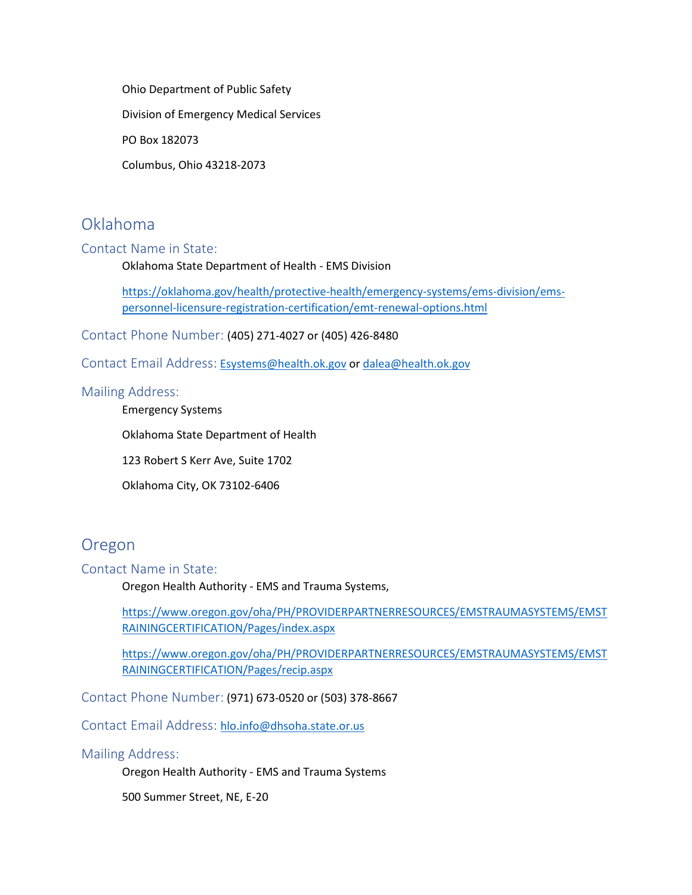Ohio Department of Public Safety

Division of Emergency Medical Services

PO Box 182073

Columbus, Ohio 43218-2073

# Oklahoma

### Contact Name in State:

Oklahoma State Department of Health - EMS Division

[https://oklahoma.gov/health/protective-health/emergency-systems/ems-division/ems](https://oklahoma.gov/health/protective-health/emergency-systems/ems-division/ems-personnel-licensure-registration-certification/emt-renewal-options.html)[personnel-licensure-registration-certification/emt-renewal-options.html](https://oklahoma.gov/health/protective-health/emergency-systems/ems-division/ems-personnel-licensure-registration-certification/emt-renewal-options.html)

Contact Phone Number: (405) 271-4027 or (405) 426-8480

Contact Email Address: [Esystems@health.ok.gov](mailto:Esystems@health.ok.gov) or [dalea@health.ok.gov](mailto:dalea@health.ok.gov)

#### Mailing Address:

Emergency Systems

Oklahoma State Department of Health

123 Robert S Kerr Ave, Suite 1702

Oklahoma City, OK 73102-6406

### Oregon

#### Contact Name in State:

Oregon Health Authority - EMS and Trauma Systems,

[https://www.oregon.gov/oha/PH/PROVIDERPARTNERRESOURCES/EMSTRAUMASYSTEMS/EMST](https://www.oregon.gov/oha/PH/PROVIDERPARTNERRESOURCES/EMSTRAUMASYSTEMS/EMSTRAININGCERTIFICATION/Pages/index.aspx) [RAININGCERTIFICATION/Pages/index.aspx](https://www.oregon.gov/oha/PH/PROVIDERPARTNERRESOURCES/EMSTRAUMASYSTEMS/EMSTRAININGCERTIFICATION/Pages/index.aspx)

[https://www.oregon.gov/oha/PH/PROVIDERPARTNERRESOURCES/EMSTRAUMASYSTEMS/EMST](https://www.oregon.gov/oha/PH/PROVIDERPARTNERRESOURCES/EMSTRAUMASYSTEMS/EMSTRAININGCERTIFICATION/Pages/recip.aspx) [RAININGCERTIFICATION/Pages/recip.aspx](https://www.oregon.gov/oha/PH/PROVIDERPARTNERRESOURCES/EMSTRAUMASYSTEMS/EMSTRAININGCERTIFICATION/Pages/recip.aspx)

Contact Phone Number: (971) 673-0520 or (503) 378-8667

Contact Email Address: [hlo.info@dhsoha.state.or.us](mailto:hlo.info@dhsoha.state.or.us)

### Mailing Address:

Oregon Health Authority - EMS and Trauma Systems

500 Summer Street, NE, E-20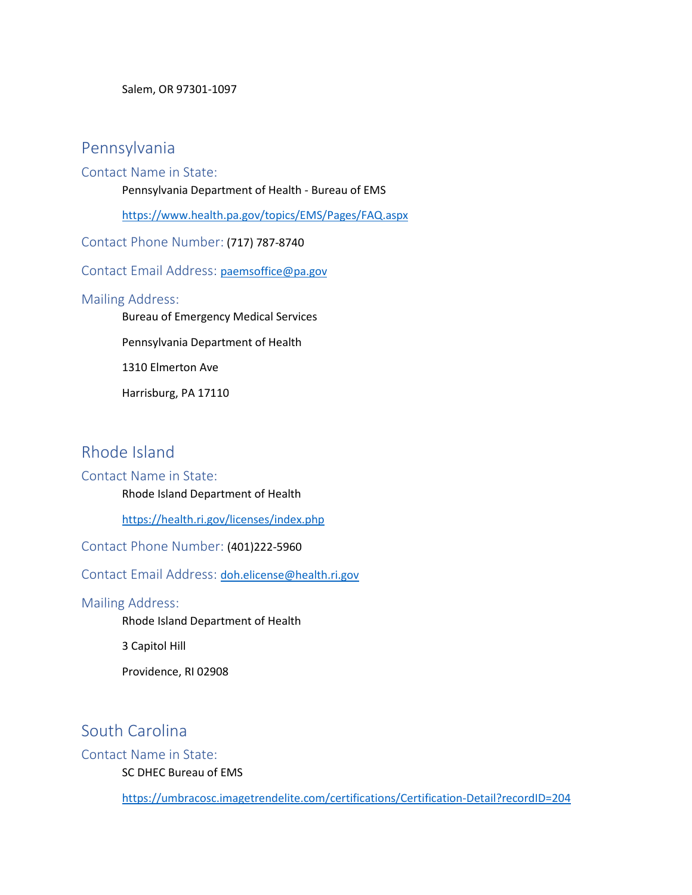Salem, OR 97301-1097

### Pennsylvania

### Contact Name in State:

Pennsylvania Department of Health - Bureau of EMS

<https://www.health.pa.gov/topics/EMS/Pages/FAQ.aspx>

Contact Phone Number: (717) 787-8740

Contact Email Address:[paemsoffice@pa.gov](mailto:paemsoffice@pa.gov) 

### Mailing Address:

Bureau of Emergency Medical Services

Pennsylvania Department of Health

1310 Elmerton Ave

Harrisburg, PA 17110

### Rhode Island

### Contact Name in State:

Rhode Island Department of Health

<https://health.ri.gov/licenses/index.php>

Contact Phone Number: (401)222-5960

Contact Email Address:[doh.elicense@health.ri.gov](mailto:doh.elicense@health.ri.gov)

### Mailing Address:

Rhode Island Department of Health

3 Capitol Hill

Providence, RI 02908

# South Carolina

### Contact Name in State:

SC DHEC Bureau of EMS

<https://umbracosc.imagetrendelite.com/certifications/Certification-Detail?recordID=204>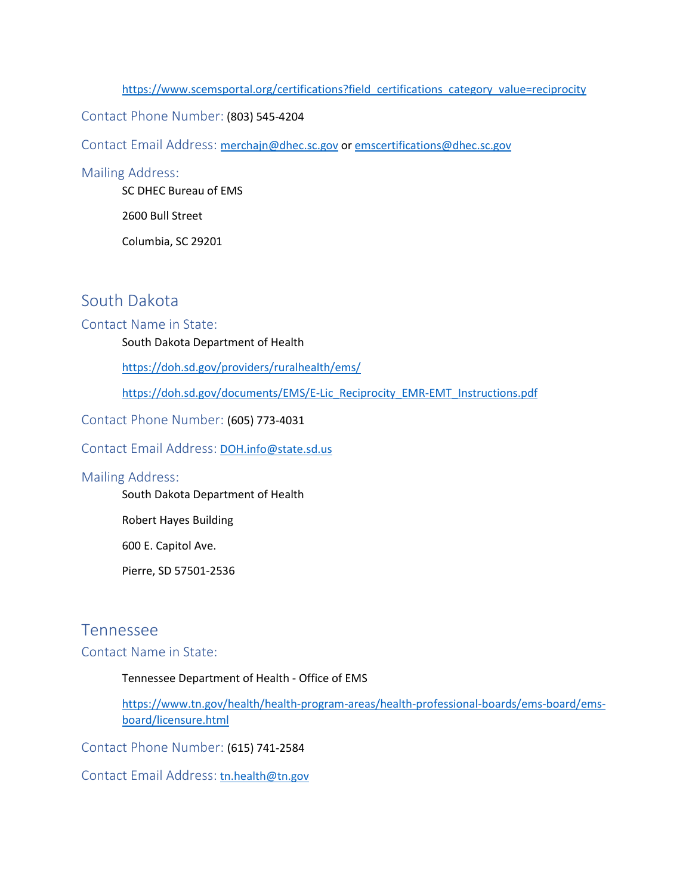#### [https://www.scemsportal.org/certifications?field\\_certifications\\_category\\_value=reciprocity](https://www.scemsportal.org/certifications?field_certifications_category_value=reciprocity)

### Contact Phone Number: (803) 545-4204

Contact Email Address: [merchajn@dhec.sc.gov](mailto:merchajn@dhec.sc.gov) or [emscertifications@dhec.sc.gov](mailto:emscertifications@dhec.sc.gov)

#### Mailing Address:

SC DHEC Bureau of EMS

2600 Bull Street

Columbia, SC 29201

# South Dakota

### Contact Name in State:

South Dakota Department of Health

<https://doh.sd.gov/providers/ruralhealth/ems/>

[https://doh.sd.gov/documents/EMS/E-Lic\\_Reciprocity\\_EMR-EMT\\_Instructions.pdf](https://doh.sd.gov/documents/EMS/E-Lic_Reciprocity_EMR-EMT_Instructions.pdf)

Contact Phone Number: (605) 773-4031

Contact Email Address: [DOH.info@state.sd.us](mailto:DOH.info@state.sd.us)

#### Mailing Address:

South Dakota Department of Health

Robert Hayes Building

600 E. Capitol Ave.

Pierre, SD 57501-2536

### Tennessee

### Contact Name in State:

#### Tennessee Department of Health - Office of EMS

[https://www.tn.gov/health/health-program-areas/health-professional-boards/ems-board/ems](https://www.tn.gov/health/health-program-areas/health-professional-boards/ems-board/ems-board/licensure.html)[board/licensure.html](https://www.tn.gov/health/health-program-areas/health-professional-boards/ems-board/ems-board/licensure.html)

Contact Phone Number: (615) 741-2584

Contact Email Address: [tn.health@tn.gov](mailto:tn.health@tn.gov)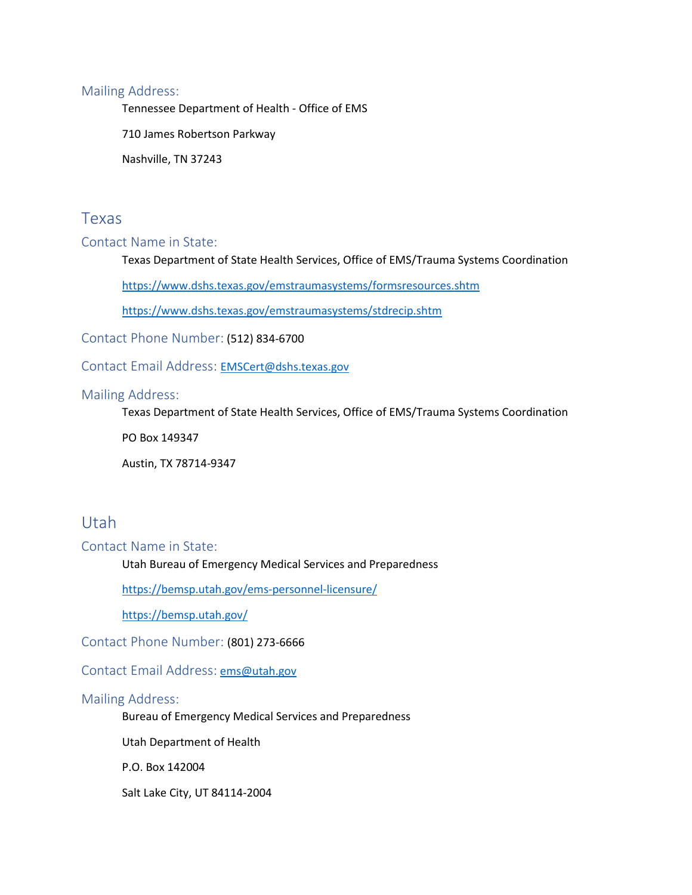### Mailing Address:

Tennessee Department of Health - Office of EMS

710 James Robertson Parkway

Nashville, TN 37243

### Texas

### Contact Name in State:

Texas Department of State Health Services, Office of EMS/Trauma Systems Coordination

<https://www.dshs.texas.gov/emstraumasystems/formsresources.shtm>

<https://www.dshs.texas.gov/emstraumasystems/stdrecip.shtm>

Contact Phone Number: (512) 834-6700

Contact Email Address:[EMSCert@dshs.texas.gov](mailto:EMSCert@dshs.texas.gov)

### Mailing Address:

Texas Department of State Health Services, Office of EMS/Trauma Systems Coordination

PO Box 149347

Austin, TX 78714-9347

### Utah

Contact Name in State:

Utah Bureau of Emergency Medical Services and Preparedness

<https://bemsp.utah.gov/ems-personnel-licensure/>

<https://bemsp.utah.gov/>

Contact Phone Number: (801) 273-6666

Contact Email Address: [ems@utah.gov](mailto:ems@utah.gov)

### Mailing Address:

Bureau of Emergency Medical Services and Preparedness

Utah Department of Health

P.O. Box 142004

Salt Lake City, UT 84114-2004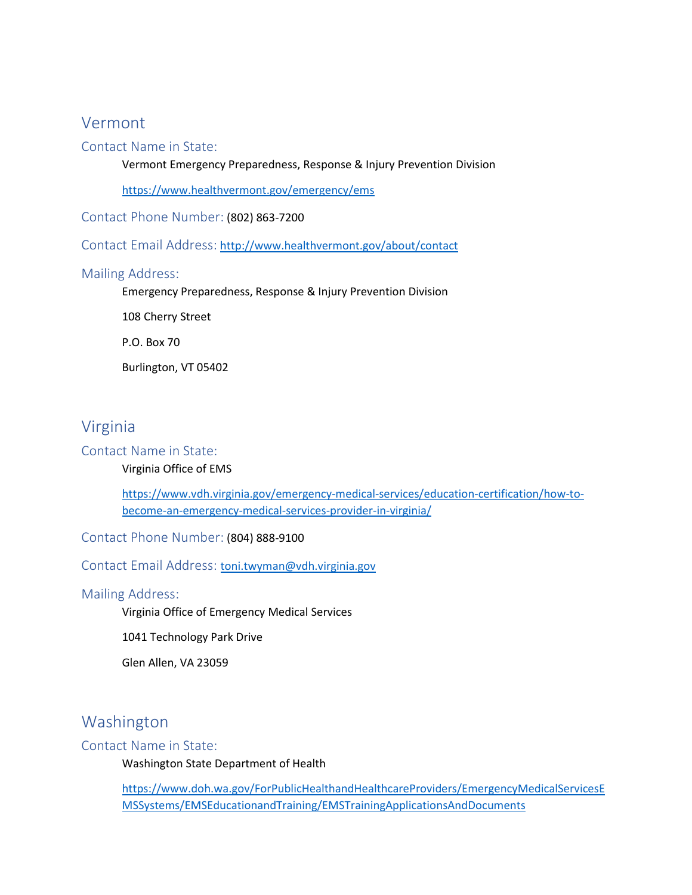### Vermont

### Contact Name in State:

Vermont Emergency Preparedness, Response & Injury Prevention Division

<https://www.healthvermont.gov/emergency/ems>

Contact Phone Number: (802) 863-7200

Contact Email Address: <http://www.healthvermont.gov/about/contact>

### Mailing Address:

Emergency Preparedness, Response & Injury Prevention Division

108 Cherry Street

P.O. Box 70

Burlington, VT 05402

### Virginia

#### Contact Name in State:

#### Virginia Office of EMS

[https://www.vdh.virginia.gov/emergency-medical-services/education-certification/how-to](https://www.vdh.virginia.gov/emergency-medical-services/education-certification/how-to-become-an-emergency-medical-services-provider-in-virginia/)[become-an-emergency-medical-services-provider-in-virginia/](https://www.vdh.virginia.gov/emergency-medical-services/education-certification/how-to-become-an-emergency-medical-services-provider-in-virginia/)

Contact Phone Number: (804) 888-9100

Contact Email Address:[toni.twyman@vdh.virginia.gov](mailto:toni.twyman@vdh.virginia.gov)

#### Mailing Address:

Virginia Office of Emergency Medical Services

1041 Technology Park Drive

Glen Allen, VA 23059

### Washington

### Contact Name in State:

Washington State Department of Health

[https://www.doh.wa.gov/ForPublicHealthandHealthcareProviders/EmergencyMedicalServicesE](https://www.doh.wa.gov/ForPublicHealthandHealthcareProviders/EmergencyMedicalServicesEMSSystems/EMSEducationandTraining/EMSTrainingApplicationsAndDocuments) [MSSystems/EMSEducationandTraining/EMSTrainingApplicationsAndDocuments](https://www.doh.wa.gov/ForPublicHealthandHealthcareProviders/EmergencyMedicalServicesEMSSystems/EMSEducationandTraining/EMSTrainingApplicationsAndDocuments)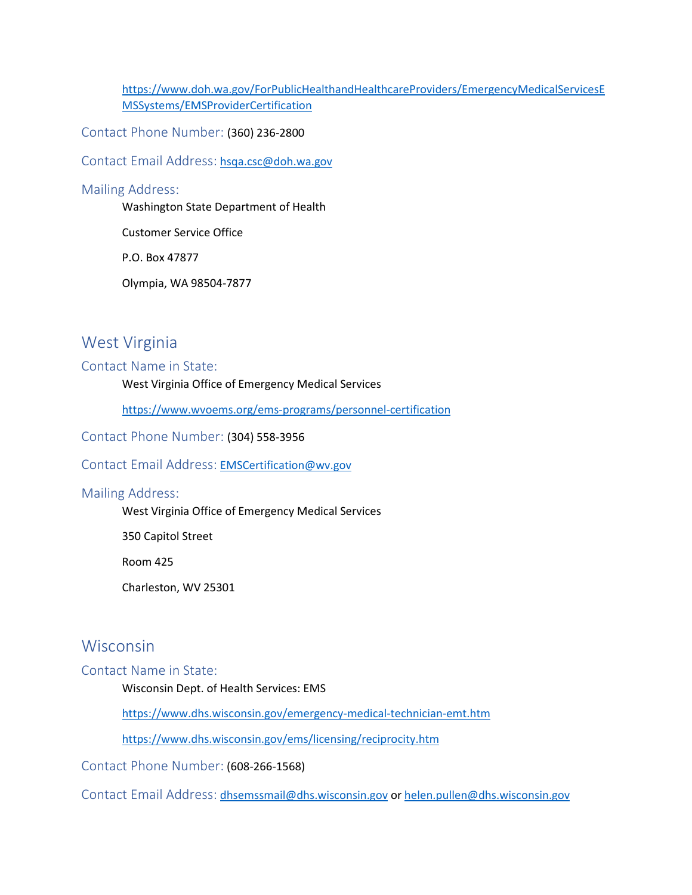[https://www.doh.wa.gov/ForPublicHealthandHealthcareProviders/EmergencyMedicalServicesE](https://www.doh.wa.gov/ForPublicHealthandHealthcareProviders/EmergencyMedicalServicesEMSSystems/EMSProviderCertification) [MSSystems/EMSProviderCertification](https://www.doh.wa.gov/ForPublicHealthandHealthcareProviders/EmergencyMedicalServicesEMSSystems/EMSProviderCertification)

Contact Phone Number: (360) 236-2800

Contact Email Address: [hsqa.csc@doh.wa.gov](mailto:hsqa.csc@doh.wa.gov)

### Mailing Address:

Washington State Department of Health

Customer Service Office

P.O. Box 47877

Olympia, WA 98504-7877

### West Virginia

### Contact Name in State:

West Virginia Office of Emergency Medical Services

<https://www.wvoems.org/ems-programs/personnel-certification>

Contact Phone Number: (304) 558-3956

#### Contact Email Address: [EMSCertification@wv.gov](mailto:EMSCertification@wv.gov)

#### Mailing Address:

West Virginia Office of Emergency Medical Services

350 Capitol Street

Room 425

Charleston, WV 25301

### Wisconsin

#### Contact Name in State:

Wisconsin Dept. of Health Services: EMS

<https://www.dhs.wisconsin.gov/emergency-medical-technician-emt.htm>

<https://www.dhs.wisconsin.gov/ems/licensing/reciprocity.htm>

Contact Phone Number: (608-266-1568)

Contact Email Address: [dhsemssmail@dhs.wisconsin.gov](mailto:dhsemssmail@dhs.wisconsin.gov) or [helen.pullen@dhs.wisconsin.gov](mailto:helen.pullen@dhs.wisconsin.gov)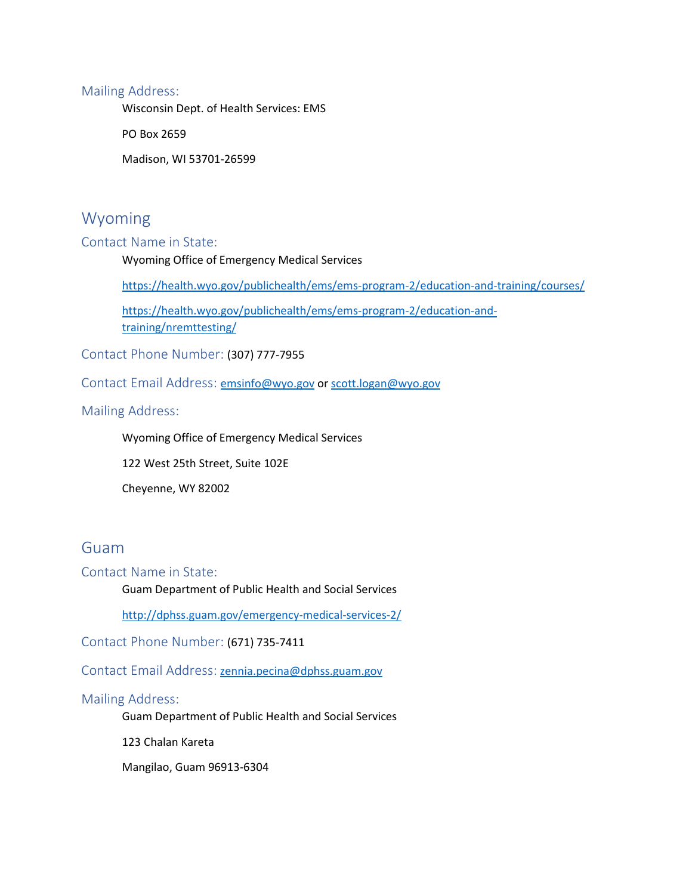### Mailing Address:

Wisconsin Dept. of Health Services: EMS

PO Box 2659

Madison, WI 53701-26599

### Wyoming

### Contact Name in State:

Wyoming Office of Emergency Medical Services

<https://health.wyo.gov/publichealth/ems/ems-program-2/education-and-training/courses/>

[https://health.wyo.gov/publichealth/ems/ems-program-2/education-and](https://health.wyo.gov/publichealth/ems/ems-program-2/education-and-training/nremttesting/)[training/nremttesting/](https://health.wyo.gov/publichealth/ems/ems-program-2/education-and-training/nremttesting/)

Contact Phone Number: (307) 777-7955

Contact Email Address: [emsinfo@wyo.gov](mailto:emsinfo@wyo.gov) or [scott.logan@wyo.gov](mailto:scott.logan@wyo.gov)

Mailing Address:

Wyoming Office of Emergency Medical Services

122 West 25th Street, Suite 102E

Cheyenne, WY 82002

### Guam

Contact Name in State:

Guam Department of Public Health and Social Services

<http://dphss.guam.gov/emergency-medical-services-2/>

Contact Phone Number: (671) 735-7411

Contact Email Address: [zennia.pecina@dphss.guam.gov](mailto:zennia.pecina@dphss.guam.gov)

### Mailing Address:

Guam Department of Public Health and Social Services

123 Chalan Kareta

Mangilao, Guam 96913-6304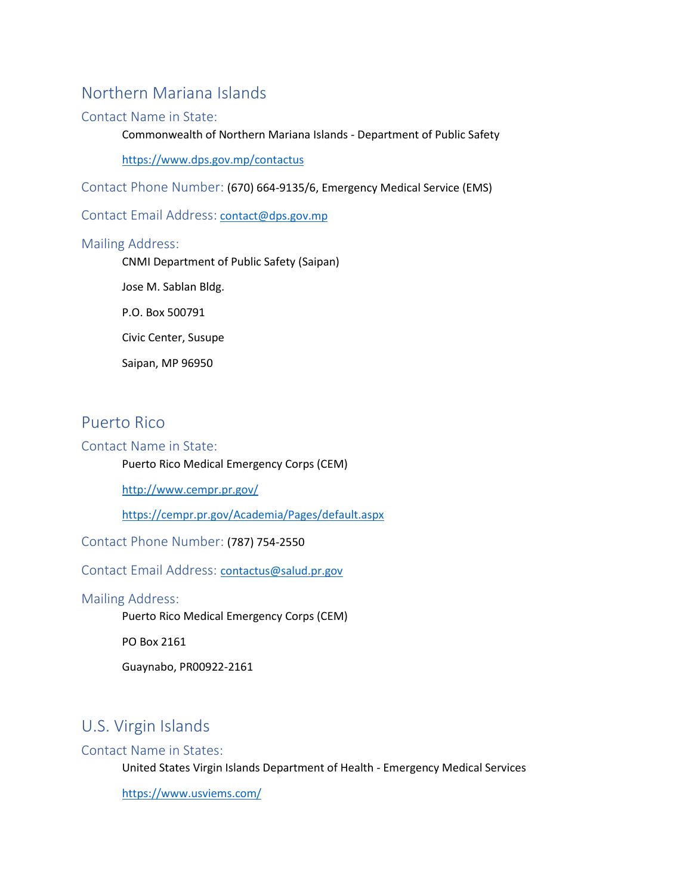# Northern Mariana Islands

### Contact Name in State:

Commonwealth of Northern Mariana Islands - Department of Public Safety

<https://www.dps.gov.mp/contactus>

Contact Phone Number: (670) 664-9135/6, Emergency Medical Service (EMS)

Contact Email Address: [contact@dps.gov.mp](mailto:contact@dps.gov.mp)

#### Mailing Address:

CNMI Department of Public Safety (Saipan)

Jose M. Sablan Bldg.

P.O. Box 500791

Civic Center, Susupe

Saipan, MP 96950

### Puerto Rico

### Contact Name in State:

Puerto Rico Medical Emergency Corps (CEM)

<http://www.cempr.pr.gov/>

<https://cempr.pr.gov/Academia/Pages/default.aspx>

Contact Phone Number: (787) 754-2550

Contact Email Address:[contactus@salud.pr.gov](mailto:contactus@salud.pr.gov)

### Mailing Address:

Puerto Rico Medical Emergency Corps (CEM)

PO Box 2161

Guaynabo, PR00922-2161

# U.S. Virgin Islands

### Contact Name in States:

United States Virgin Islands Department of Health - Emergency Medical Services

<https://www.usviems.com/>